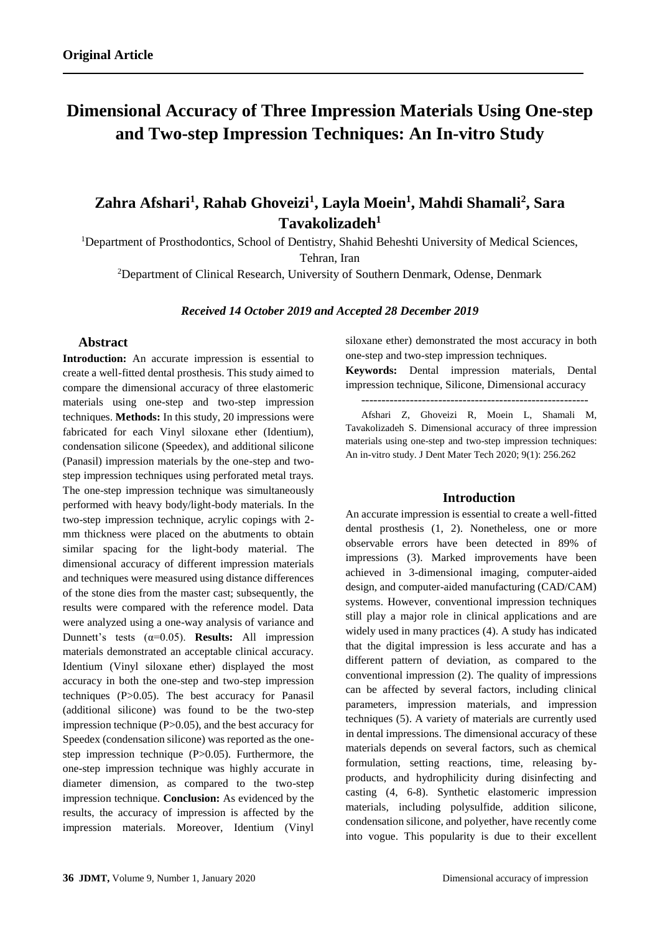# **Dimensional Accuracy of Three Impression Materials Using One-step and Two-step Impression Techniques: An In-vitro Study**

## **Zahra Afshari<sup>1</sup> , Rahab Ghoveizi<sup>1</sup> , Layla Moein<sup>1</sup> , Mahdi Shamali<sup>2</sup> , Sara Tavakolizadeh<sup>1</sup>**

<sup>1</sup>Department of Prosthodontics, School of Dentistry, Shahid Beheshti University of Medical Sciences, Tehran, Iran

<sup>2</sup>Department of Clinical Research, University of Southern Denmark, Odense, Denmark

#### *Received 14 October 2019 and Accepted 28 December 2019*

## **Abstract**

**Introduction:** An accurate impression is essential to create a well-fitted dental prosthesis. This study aimed to compare the dimensional accuracy of three elastomeric materials using one-step and two-step impression techniques. **Methods:** In this study, 20 impressions were fabricated for each Vinyl siloxane ether (Identium), condensation silicone (Speedex), and additional silicone (Panasil) impression materials by the one-step and twostep impression techniques using perforated metal trays. The one-step impression technique was simultaneously performed with heavy body/light-body materials. In the two-step impression technique, acrylic copings with 2 mm thickness were placed on the abutments to obtain similar spacing for the light-body material. The dimensional accuracy of different impression materials and techniques were measured using distance differences of the stone dies from the master cast; subsequently, the results were compared with the reference model. Data were analyzed using a one-way analysis of variance and Dunnett's tests (α=0.05). **Results:** All impression materials demonstrated an acceptable clinical accuracy. Identium (Vinyl siloxane ether) displayed the most accuracy in both the one-step and two-step impression techniques (P>0.05). The best accuracy for Panasil (additional silicone) was found to be the two-step impression technique  $(P>0.05)$ , and the best accuracy for Speedex (condensation silicone) was reported as the onestep impression technique (P>0.05). Furthermore, the one-step impression technique was highly accurate in diameter dimension, as compared to the two-step impression technique. **Conclusion:** As evidenced by the results, the accuracy of impression is affected by the impression materials. Moreover, Identium (Vinyl siloxane ether) demonstrated the most accuracy in both one-step and two-step impression techniques.

**Keywords:** Dental impression materials, Dental impression technique, Silicone, Dimensional accuracy

--------------------------------------------------------

Afshari Z, Ghoveizi R, Moein L, Shamali M, Tavakolizadeh S. Dimensional accuracy of three impression materials using one-step and two-step impression techniques: An in-vitro study. J Dent Mater Tech 2020; 9(1): 256.262

## **Introduction**

An accurate impression is essential to create a well-fitted dental prosthesis (1, 2). Nonetheless, one or more observable errors have been detected in 89% of impressions (3). Marked improvements have been achieved in 3-dimensional imaging, computer-aided design, and computer-aided manufacturing (CAD/CAM) systems. However, conventional impression techniques still play a major role in clinical applications and are widely used in many practices (4). A study has indicated that the digital impression is less accurate and has a different pattern of deviation, as compared to the conventional impression (2). The quality of impressions can be affected by several factors, including clinical parameters, impression materials, and impression techniques (5). A variety of materials are currently used in dental impressions. The dimensional accuracy of these materials depends on several factors, such as chemical formulation, setting reactions, time, releasing byproducts, and hydrophilicity during disinfecting and casting (4, 6-8). Synthetic elastomeric impression materials, including polysulfide, addition silicone, condensation silicone, and polyether, have recently come into vogue. This popularity is due to their excellent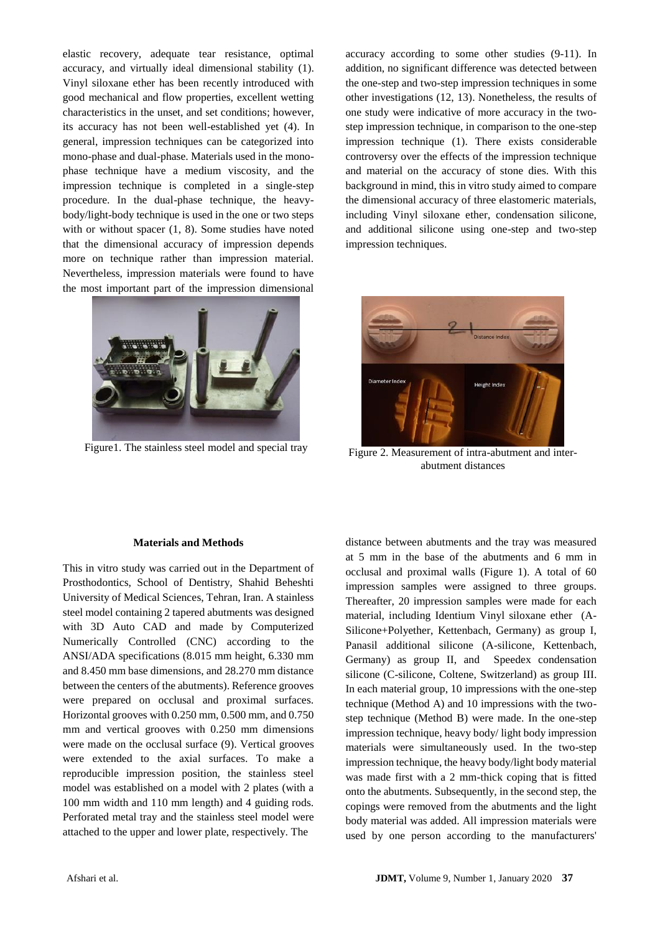elastic recovery, adequate tear resistance, optimal accuracy, and virtually ideal dimensional stability (1). Vinyl siloxane ether has been recently introduced with good mechanical and flow properties, excellent wetting characteristics in the unset, and set conditions; however, its accuracy has not been well-established yet (4). In general, impression techniques can be categorized into mono-phase and dual-phase. Materials used in the monophase technique have a medium viscosity, and the impression technique is completed in a single-step procedure. In the dual-phase technique, the heavybody/light-body technique is used in the one or two steps with or without spacer (1, 8). Some studies have noted that the dimensional accuracy of impression depends more on technique rather than impression material. Nevertheless, impression materials were found to have the most important part of the impression dimensional



Figure 1. The stainless steel model and special tray Figure 2. Measurement of intra-abutment and inter-

accuracy according to some other studies (9-11). In addition, no significant difference was detected between the one-step and two-step impression techniques in some other investigations (12, 13). Nonetheless, the results of one study were indicative of more accuracy in the twostep impression technique, in comparison to the one-step impression technique (1). There exists considerable controversy over the effects of the impression technique and material on the accuracy of stone dies. With this background in mind, this in vitro study aimed to compare the dimensional accuracy of three elastomeric materials, including Vinyl siloxane ether, condensation silicone, and additional silicone using one-step and two-step impression techniques.



abutment distances

#### **Materials and Methods**

This in vitro study was carried out in the Department of Prosthodontics, School of Dentistry, Shahid Beheshti University of Medical Sciences, Tehran, Iran. A stainless steel model containing 2 tapered abutments was designed with 3D Auto CAD and made by Computerized Numerically Controlled (CNC) according to the ANSI/ADA specifications (8.015 mm height, 6.330 mm and 8.450 mm base dimensions, and 28.270 mm distance between the centers of the abutments). Reference grooves were prepared on occlusal and proximal surfaces. Horizontal grooves with 0.250 mm, 0.500 mm, and 0.750 mm and vertical grooves with 0.250 mm dimensions were made on the occlusal surface (9). Vertical grooves were extended to the axial surfaces. To make a reproducible impression position, the stainless steel model was established on a model with 2 plates (with a 100 mm width and 110 mm length) and 4 guiding rods. Perforated metal tray and the stainless steel model were attached to the upper and lower plate, respectively. The

distance between abutments and the tray was measured at 5 mm in the base of the abutments and 6 mm in occlusal and proximal walls (Figure 1). A total of 60 impression samples were assigned to three groups. Thereafter, 20 impression samples were made for each material, including Identium Vinyl siloxane ether (A-Silicone+Polyether, Kettenbach, Germany) as group I, Panasil additional silicone (A-silicone, Kettenbach, Germany) as group II, and Speedex condensation silicone (C-silicone, Coltene, Switzerland) as group III. In each material group, 10 impressions with the one-step technique (Method A) and 10 impressions with the twostep technique (Method B) were made. In the one-step impression technique, heavy body/ light body impression materials were simultaneously used. In the two-step impression technique, the heavy body/light body material was made first with a 2 mm-thick coping that is fitted onto the abutments. Subsequently, in the second step, the copings were removed from the abutments and the light body material was added. All impression materials were used by one person according to the manufacturers'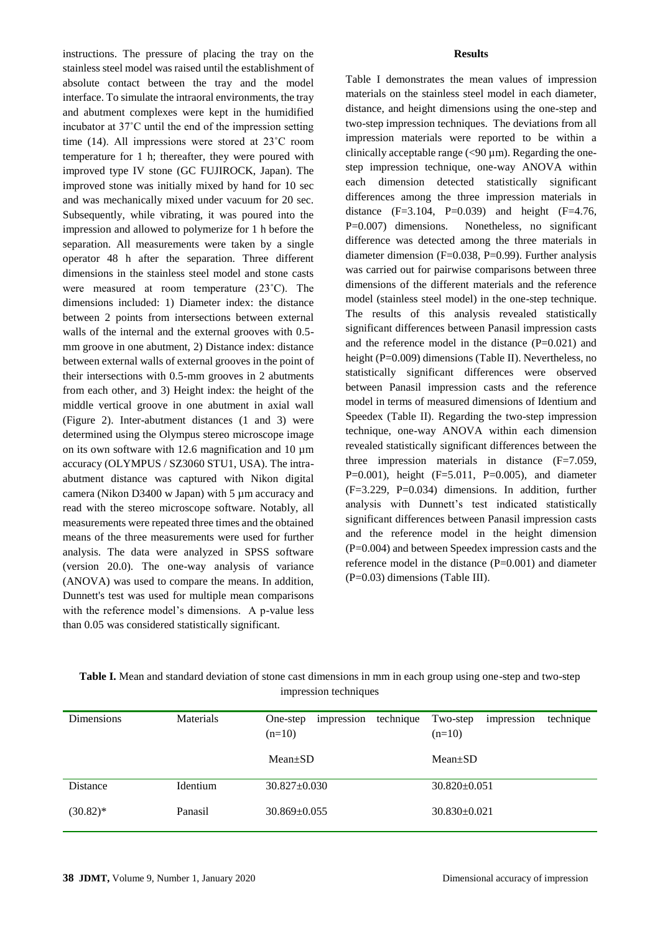instructions. The pressure of placing the tray on the stainless steel model was raised until the establishment of absolute contact between the tray and the model interface. To simulate the intraoral environments, the tray and abutment complexes were kept in the humidified incubator at 37˚C until the end of the impression setting time (14). All impressions were stored at 23˚C room temperature for 1 h; thereafter, they were poured with improved type IV stone (GC FUJIROCK, Japan). The improved stone was initially mixed by hand for 10 sec and was mechanically mixed under vacuum for 20 sec. Subsequently, while vibrating, it was poured into the impression and allowed to polymerize for 1 h before the separation. All measurements were taken by a single operator 48 h after the separation. Three different dimensions in the stainless steel model and stone casts were measured at room temperature (23˚C). The dimensions included: 1) Diameter index: the distance between 2 points from intersections between external walls of the internal and the external grooves with 0.5 mm groove in one abutment, 2) Distance index: distance between external walls of external grooves in the point of their intersections with 0.5-mm grooves in 2 abutments from each other, and 3) Height index: the height of the middle vertical groove in one abutment in axial wall (Figure 2). Inter-abutment distances (1 and 3) were determined using the Olympus stereo microscope image on its own software with 12.6 magnification and 10  $\mu$ m accuracy (OLYMPUS / SZ3060 STU1, USA). The intraabutment distance was captured with Nikon digital camera (Nikon D3400 w Japan) with 5 µm accuracy and read with the stereo microscope software. Notably, all measurements were repeated three times and the obtained means of the three measurements were used for further analysis. The data were analyzed in SPSS software (version 20.0). The one-way analysis of variance (ANOVA) was used to compare the means. In addition, Dunnett's test was used for multiple mean comparisons with the reference model's dimensions. A p-value less than 0.05 was considered statistically significant.

## **Results**

Table I demonstrates the mean values of impression materials on the stainless steel model in each diameter, distance, and height dimensions using the one-step and two-step impression techniques. The deviations from all impression materials were reported to be within a clinically acceptable range  $(< 90 \text{ µm})$ . Regarding the onestep impression technique, one-way ANOVA within each dimension detected statistically significant differences among the three impression materials in distance  $(F=3.104, P=0.039)$  and height  $(F=4.76,$ P=0.007) dimensions. Nonetheless, no significant difference was detected among the three materials in diameter dimension (F=0.038, P=0.99). Further analysis was carried out for pairwise comparisons between three dimensions of the different materials and the reference model (stainless steel model) in the one-step technique. The results of this analysis revealed statistically significant differences between Panasil impression casts and the reference model in the distance  $(P=0.021)$  and height (P=0.009) dimensions (Table II). Nevertheless, no statistically significant differences were observed between Panasil impression casts and the reference model in terms of measured dimensions of Identium and Speedex (Table II). Regarding the two-step impression technique, one-way ANOVA within each dimension revealed statistically significant differences between the three impression materials in distance (F=7.059, P=0.001), height  $(F=5.011, P=0.005)$ , and diameter (F=3.229, P=0.034) dimensions. In addition, further analysis with Dunnett's test indicated statistically significant differences between Panasil impression casts and the reference model in the height dimension (P=0.004) and between Speedex impression casts and the reference model in the distance (P=0.001) and diameter (P=0.03) dimensions (Table III).

| <b>Dimensions</b> | <b>Materials</b> | technique<br>impression<br>One-step | technique<br>Two-step<br>impression |
|-------------------|------------------|-------------------------------------|-------------------------------------|
|                   |                  | $(n=10)$                            | $(n=10)$                            |
|                   |                  |                                     |                                     |
|                   |                  | $Mean \pm SD$                       | $Mean \pm SD$                       |
|                   |                  |                                     |                                     |
| Distance          | Identium         | $30.827 \pm 0.030$                  | $30.820 \pm 0.051$                  |
|                   |                  |                                     |                                     |
| $(30.82)^*$       | Panasil          | $30.869 \pm 0.055$                  | $30.830 \pm 0.021$                  |
|                   |                  |                                     |                                     |

| Table I. Mean and standard deviation of stone cast dimensions in mm in each group using one-step and two-step |  |
|---------------------------------------------------------------------------------------------------------------|--|
| impression techniques                                                                                         |  |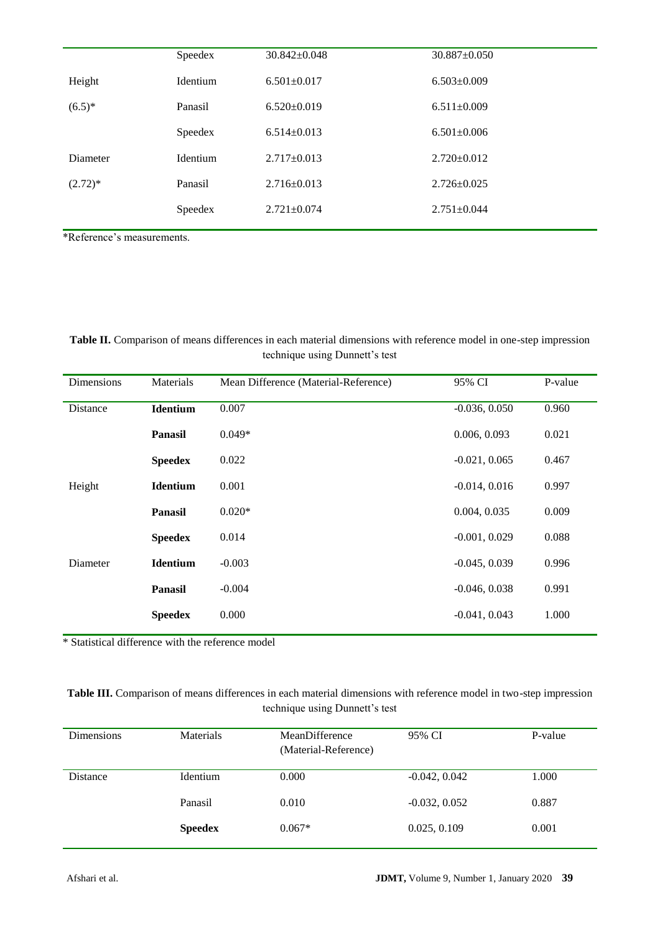|            | Speedex  | 30.842±0.048      | $30.887 \pm 0.050$ |
|------------|----------|-------------------|--------------------|
| Height     | Identium | $6.501 \pm 0.017$ | $6.503 \pm 0.009$  |
| $(6.5)^*$  | Panasil  | $6.520 \pm 0.019$ | $6.511 \pm 0.009$  |
|            | Speedex  | $6.514 \pm 0.013$ | $6.501 \pm 0.006$  |
| Diameter   | Identium | $2.717 \pm 0.013$ | $2.720 \pm 0.012$  |
| $(2.72)^*$ | Panasil  | $2.716 \pm 0.013$ | $2.726 \pm 0.025$  |
|            | Speedex  | $2.721 \pm 0.074$ | $2.751 \pm 0.044$  |
|            |          |                   |                    |

\*Reference's measurements.

## **Table II.** Comparison of means differences in each material dimensions with reference model in one-step impression technique using Dunnett's test

| Dimensions | Materials       | Mean Difference (Material-Reference) | 95% CI          | P-value |
|------------|-----------------|--------------------------------------|-----------------|---------|
| Distance   | <b>Identium</b> | 0.007                                | $-0.036, 0.050$ | 0.960   |
|            | <b>Panasil</b>  | $0.049*$                             | 0.006, 0.093    | 0.021   |
|            | <b>Speedex</b>  | 0.022                                | $-0.021, 0.065$ | 0.467   |
| Height     | <b>Identium</b> | 0.001                                | $-0.014, 0.016$ | 0.997   |
|            | <b>Panasil</b>  | $0.020*$                             | 0.004, 0.035    | 0.009   |
|            | <b>Speedex</b>  | 0.014                                | $-0.001, 0.029$ | 0.088   |
| Diameter   | <b>Identium</b> | $-0.003$                             | $-0.045, 0.039$ | 0.996   |
|            | <b>Panasil</b>  | $-0.004$                             | $-0.046, 0.038$ | 0.991   |
|            | <b>Speedex</b>  | 0.000                                | $-0.041, 0.043$ | 1.000   |

\* Statistical difference with the reference model

## **Table III.** Comparison of means differences in each material dimensions with reference model in two-step impression technique using Dunnett's test

| <b>Dimensions</b> | <b>Materials</b> | MeanDifference<br>(Material-Reference) | 95% CI          | P-value |
|-------------------|------------------|----------------------------------------|-----------------|---------|
| Distance          | Identium         | 0.000                                  | $-0.042, 0.042$ | 1.000   |
|                   | Panasil          | 0.010                                  | $-0.032, 0.052$ | 0.887   |
|                   | <b>Speedex</b>   | $0.067*$                               | 0.025, 0.109    | 0.001   |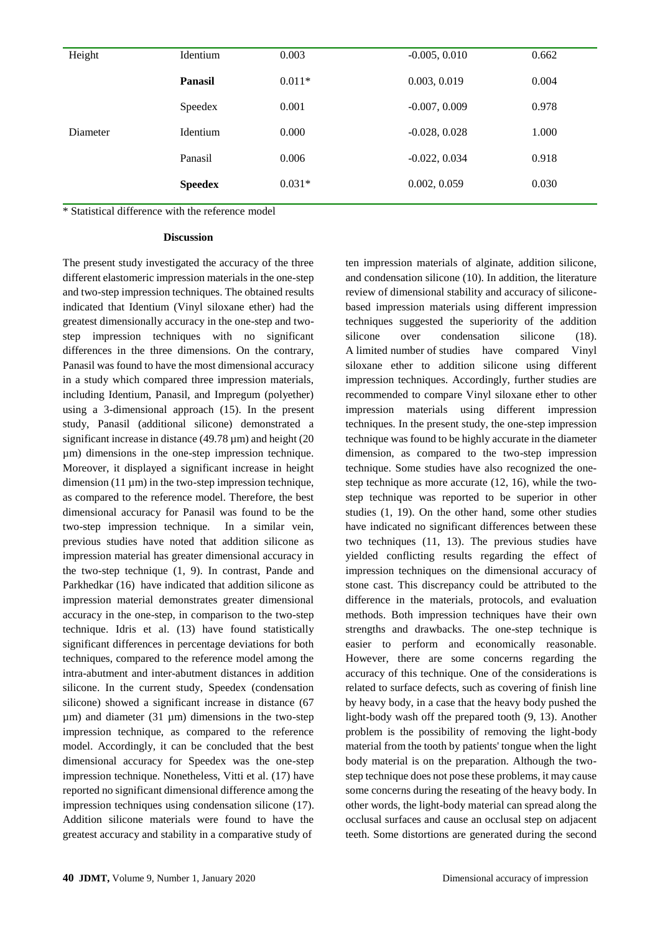| Height   | Identium       | 0.003    | $-0.005, 0.010$ | 0.662 |
|----------|----------------|----------|-----------------|-------|
|          | <b>Panasil</b> | $0.011*$ | 0.003, 0.019    | 0.004 |
| Diameter | Speedex        | 0.001    | $-0.007, 0.009$ | 0.978 |
|          | Identium       | 0.000    | $-0.028, 0.028$ | 1.000 |
|          | Panasil        | 0.006    | $-0.022, 0.034$ | 0.918 |
|          | <b>Speedex</b> | $0.031*$ | 0.002, 0.059    | 0.030 |
|          |                |          |                 |       |

\* Statistical difference with the reference model

#### **Discussion**

The present study investigated the accuracy of the three different elastomeric impression materials in the one-step and two-step impression techniques. The obtained results indicated that Identium (Vinyl siloxane ether) had the greatest dimensionally accuracy in the one-step and twostep impression techniques with no significant differences in the three dimensions. On the contrary, Panasil was found to have the most dimensional accuracy in a study which compared three impression materials, including Identium, Panasil, and Impregum (polyether) using a 3-dimensional approach (15). In the present study, Panasil (additional silicone) demonstrated a significant increase in distance (49.78 µm) and height (20 µm) dimensions in the one-step impression technique. Moreover, it displayed a significant increase in height  $dimension (11 \text{ nm})$  in the two-step impression technique. as compared to the reference model. Therefore, the best dimensional accuracy for Panasil was found to be the two-step impression technique. In a similar vein, previous studies have noted that addition silicone as impression material has greater dimensional accuracy in the two-step technique (1, 9). In contrast, Pande and Parkhedkar (16) have indicated that addition silicone as impression material demonstrates greater dimensional accuracy in the one-step, in comparison to the two-step technique. Idris et al. (13) have found statistically significant differences in percentage deviations for both techniques, compared to the reference model among the intra-abutment and inter-abutment distances in addition silicone. In the current study, Speedex (condensation silicone) showed a significant increase in distance (67  $\mu$ m) and diameter (31  $\mu$ m) dimensions in the two-step impression technique, as compared to the reference model. Accordingly, it can be concluded that the best dimensional accuracy for Speedex was the one-step impression technique. Nonetheless, Vitti et al. (17) have reported no significant dimensional difference among the impression techniques using condensation silicone (17). Addition silicone materials were found to have the greatest accuracy and stability in a comparative study of

ten impression materials of alginate, addition silicone, and condensation silicone (10). In addition, the literature review of dimensional stability and accuracy of siliconebased impression materials using different impression techniques suggested the superiority of the addition silicone over condensation silicone (18). A limited number of studies have compared Vinyl siloxane ether to addition silicone using different impression techniques. Accordingly, further studies are recommended to compare Vinyl siloxane ether to other impression materials using different impression techniques. In the present study, the one-step impression technique was found to be highly accurate in the diameter dimension, as compared to the two-step impression technique. Some studies have also recognized the onestep technique as more accurate (12, 16), while the twostep technique was reported to be superior in other studies (1, 19). On the other hand, some other studies have indicated no significant differences between these two techniques (11, 13). The previous studies have yielded conflicting results regarding the effect of impression techniques on the dimensional accuracy of stone cast. This discrepancy could be attributed to the difference in the materials, protocols, and evaluation methods. Both impression techniques have their own strengths and drawbacks. The one-step technique is easier to perform and economically reasonable. However, there are some concerns regarding the accuracy of this technique. One of the considerations is related to surface defects, such as covering of finish line by heavy body, in a case that the heavy body pushed the light-body wash off the prepared tooth (9, 13). Another problem is the possibility of removing the light-body material from the tooth by patients' tongue when the light body material is on the preparation. Although the twostep technique does not pose these problems, it may cause some concerns during the reseating of the heavy body. In other words, the light-body material can spread along the occlusal surfaces and cause an occlusal step on adjacent teeth. Some distortions are generated during the second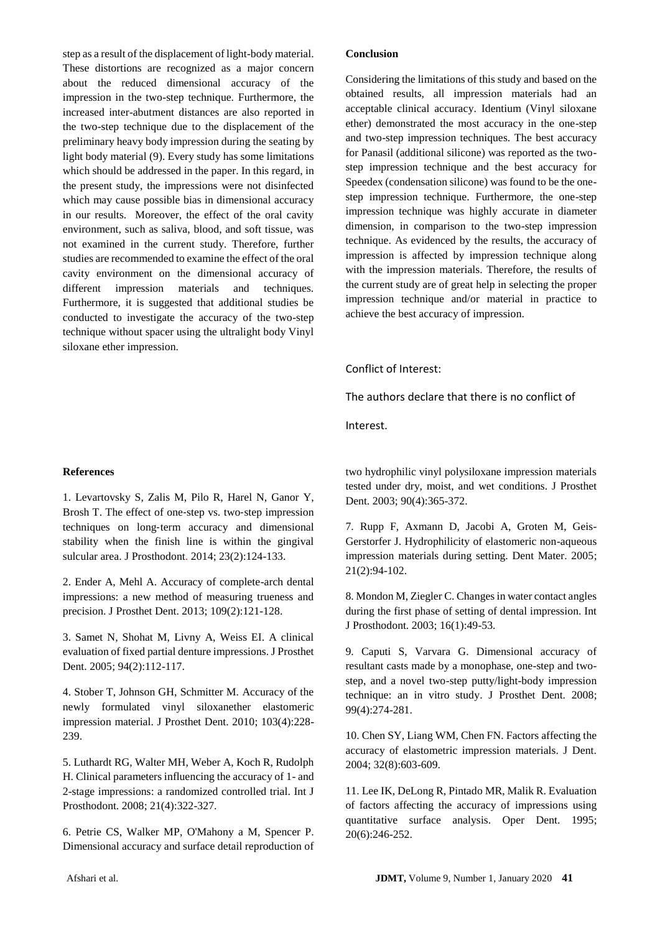step as a result of the displacement of light-body material. These distortions are recognized as a major concern about the reduced dimensional accuracy of the impression in the two-step technique. Furthermore, the increased inter-abutment distances are also reported in the two-step technique due to the displacement of the preliminary heavy body impression during the seating by light body material (9). Every study has some limitations which should be addressed in the paper. In this regard, in the present study, the impressions were not disinfected which may cause possible bias in dimensional accuracy in our results. Moreover, the effect of the oral cavity environment, such as saliva, blood, and soft tissue, was not examined in the current study. Therefore, further studies are recommended to examine the effect of the oral cavity environment on the dimensional accuracy of different impression materials and techniques. Furthermore, it is suggested that additional studies be conducted to investigate the accuracy of the two-step technique without spacer using the ultralight body Vinyl siloxane ether impression.

#### **References**

1. Levartovsky S, Zalis M, Pilo R, Harel N, Ganor Y, Brosh T. The effect of one‐step vs. two‐step impression techniques on long‐term accuracy and dimensional stability when the finish line is within the gingival sulcular area. J Prosthodont. 2014; 23(2):124-133.

2. Ender A, Mehl A. Accuracy of complete-arch dental impressions: a new method of measuring trueness and precision. J Prosthet Dent. 2013; 109(2):121-128.

3. Samet N, Shohat M, Livny A, Weiss EI. A clinical evaluation of fixed partial denture impressions. J Prosthet Dent. 2005; 94(2):112-117.

4. Stober T, Johnson GH, Schmitter M. Accuracy of the newly formulated vinyl siloxanether elastomeric impression material. J Prosthet Dent. 2010; 103(4):228- 239.

5. Luthardt RG, Walter MH, Weber A, Koch R, Rudolph H. Clinical parameters influencing the accuracy of 1- and 2-stage impressions: a randomized controlled trial. Int J Prosthodont. 2008; 21(4):322-327.

6. Petrie CS, Walker MP, O'Mahony a M, Spencer P. Dimensional accuracy and surface detail reproduction of

#### **Conclusion**

Considering the limitations of this study and based on the obtained results, all impression materials had an acceptable clinical accuracy. Identium (Vinyl siloxane ether) demonstrated the most accuracy in the one-step and two-step impression techniques. The best accuracy for Panasil (additional silicone) was reported as the twostep impression technique and the best accuracy for Speedex (condensation silicone) was found to be the onestep impression technique. Furthermore, the one-step impression technique was highly accurate in diameter dimension, in comparison to the two-step impression technique. As evidenced by the results, the accuracy of impression is affected by impression technique along with the impression materials. Therefore, the results of the current study are of great help in selecting the proper impression technique and/or material in practice to achieve the best accuracy of impression.

#### Conflict of Interest:

The authors declare that there is no conflict of

Interest.

two hydrophilic vinyl polysiloxane impression materials tested under dry, moist, and wet conditions. J Prosthet Dent. 2003; 90(4):365-372.

7. Rupp F, Axmann D, Jacobi A, Groten M, Geis-Gerstorfer J. Hydrophilicity of elastomeric non-aqueous impression materials during setting. Dent Mater. 2005; 21(2):94-102.

8. Mondon M, Ziegler C. Changes in water contact angles during the first phase of setting of dental impression. Int J Prosthodont. 2003; 16(1):49-53.

9. Caputi S, Varvara G. Dimensional accuracy of resultant casts made by a monophase, one-step and twostep, and a novel two-step putty/light-body impression technique: an in vitro study. J Prosthet Dent. 2008; 99(4):274-281.

10. Chen SY, Liang WM, Chen FN. Factors affecting the accuracy of elastometric impression materials. J Dent. 2004; 32(8):603-609.

11. Lee IK, DeLong R, Pintado MR, Malik R. Evaluation of factors affecting the accuracy of impressions using quantitative surface analysis. Oper Dent. 1995; 20(6):246-252.